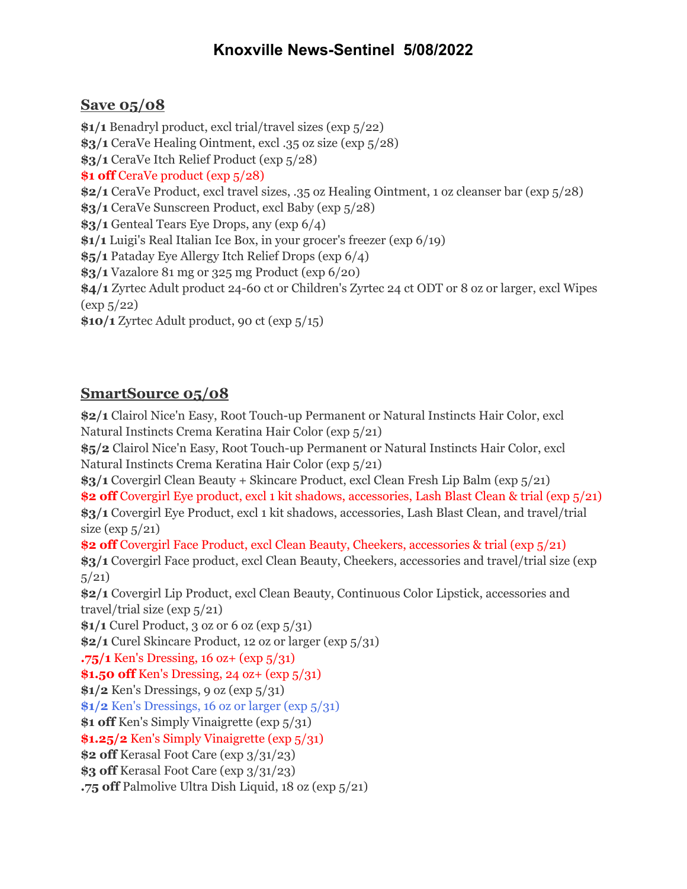## **Knoxville News-Sentinel 5/08/2022**

## **Save 05/08**

**\$1/1** Benadryl product, excl trial/travel sizes (exp 5/22) **\$3/1** CeraVe Healing Ointment, excl .35 oz size (exp 5/28) **\$3/1** CeraVe Itch Relief Product (exp 5/28) **\$1 off** CeraVe product (exp 5/28) **\$2/1** CeraVe Product, excl travel sizes, .35 oz Healing Ointment, 1 oz cleanser bar (exp 5/28) **\$3/1** CeraVe Sunscreen Product, excl Baby (exp 5/28) **\$3/1** Genteal Tears Eye Drops, any (exp 6/4) **\$1/1** Luigi's Real Italian Ice Box, in your grocer's freezer (exp 6/19) **\$5/1** Pataday Eye Allergy Itch Relief Drops (exp 6/4) **\$3/1** Vazalore 81 mg or 325 mg Product (exp 6/20) **\$4/1** Zyrtec Adult product 24-60 ct or Children's Zyrtec 24 ct ODT or 8 oz or larger, excl Wipes  $(\exp 5/22)$ **\$10/1** Zyrtec Adult product, 90 ct (exp 5/15)

## **SmartSource 05/08**

**\$2/1** Clairol Nice'n Easy, Root Touch-up Permanent or Natural Instincts Hair Color, excl Natural Instincts Crema Keratina Hair Color (exp 5/21) **\$5/2** Clairol Nice'n Easy, Root Touch-up Permanent or Natural Instincts Hair Color, excl Natural Instincts Crema Keratina Hair Color (exp 5/21) **\$3/1** Covergirl Clean Beauty + Skincare Product, excl Clean Fresh Lip Balm (exp 5/21) **\$2 off** Covergirl Eye product, excl 1 kit shadows, accessories, Lash Blast Clean & trial (exp 5/21) **\$3/1** Covergirl Eye Product, excl 1 kit shadows, accessories, Lash Blast Clean, and travel/trial size ( $\exp 5/21$ ) **\$2 off** Covergirl Face Product, excl Clean Beauty, Cheekers, accessories & trial (exp 5/21) **\$3/1** Covergirl Face product, excl Clean Beauty, Cheekers, accessories and travel/trial size (exp  $5/21$ **\$2/1** Covergirl Lip Product, excl Clean Beauty, Continuous Color Lipstick, accessories and travel/trial size (exp 5/21) **\$1/1** Curel Product, 3 oz or 6 oz (exp 5/31) **\$2/1** Curel Skincare Product, 12 oz or larger (exp 5/31) **.75/1** Ken's Dressing, 16 oz+ (exp 5/31) **\$1.50 off** Ken's Dressing, 24 oz+ (exp 5/31) **\$1/2** Ken's Dressings, 9 oz (exp 5/31) **\$1/2** Ken's Dressings, 16 oz or larger (exp 5/31) **\$1 off** Ken's Simply Vinaigrette (exp 5/31) **\$1.25/2** Ken's Simply Vinaigrette (exp 5/31) **\$2 off** Kerasal Foot Care (exp 3/31/23) **\$3 off** Kerasal Foot Care (exp 3/31/23) **.75 off** Palmolive Ultra Dish Liquid, 18 oz (exp 5/21)